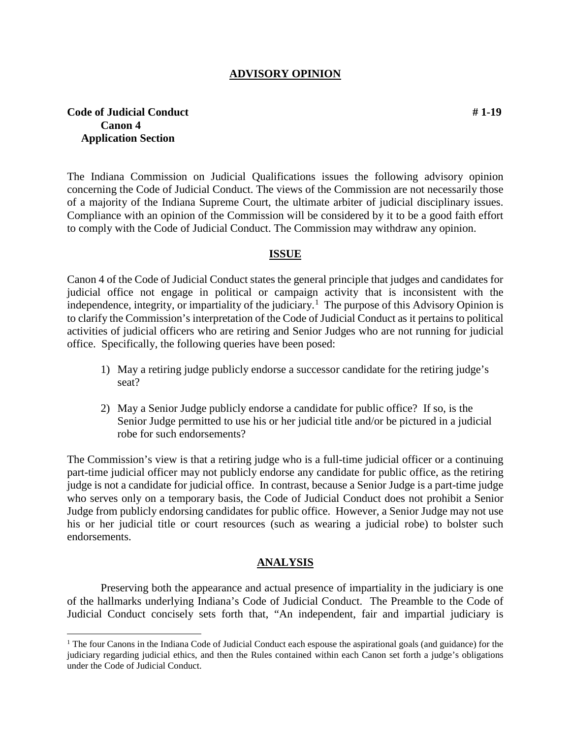## **ADVISORY OPINION**

# **Code of Judicial Conduct # 1-19 # 1-19 Canon 4 Application Section**

The Indiana Commission on Judicial Qualifications issues the following advisory opinion concerning the Code of Judicial Conduct. The views of the Commission are not necessarily those of a majority of the Indiana Supreme Court, the ultimate arbiter of judicial disciplinary issues. Compliance with an opinion of the Commission will be considered by it to be a good faith effort to comply with the Code of Judicial Conduct. The Commission may withdraw any opinion.

### **ISSUE**

Canon 4 of the Code of Judicial Conduct states the general principle that judges and candidates for judicial office not engage in political or campaign activity that is inconsistent with the independence, integrity, or impartiality of the judiciary.<sup>[1](#page-0-0)</sup> The purpose of this Advisory Opinion is to clarify the Commission's interpretation of the Code of Judicial Conduct as it pertains to political activities of judicial officers who are retiring and Senior Judges who are not running for judicial office. Specifically, the following queries have been posed:

- 1) May a retiring judge publicly endorse a successor candidate for the retiring judge's seat?
- 2) May a Senior Judge publicly endorse a candidate for public office? If so, is the Senior Judge permitted to use his or her judicial title and/or be pictured in a judicial robe for such endorsements?

The Commission's view is that a retiring judge who is a full-time judicial officer or a continuing part-time judicial officer may not publicly endorse any candidate for public office, as the retiring judge is not a candidate for judicial office. In contrast, because a Senior Judge is a part-time judge who serves only on a temporary basis, the Code of Judicial Conduct does not prohibit a Senior Judge from publicly endorsing candidates for public office. However, a Senior Judge may not use his or her judicial title or court resources (such as wearing a judicial robe) to bolster such endorsements.

### **ANALYSIS**

Preserving both the appearance and actual presence of impartiality in the judiciary is one of the hallmarks underlying Indiana's Code of Judicial Conduct. The Preamble to the Code of Judicial Conduct concisely sets forth that, "An independent, fair and impartial judiciary is

<span id="page-0-0"></span><sup>&</sup>lt;sup>1</sup> The four Canons in the Indiana Code of Judicial Conduct each espouse the aspirational goals (and guidance) for the judiciary regarding judicial ethics, and then the Rules contained within each Canon set forth a judge's obligations under the Code of Judicial Conduct.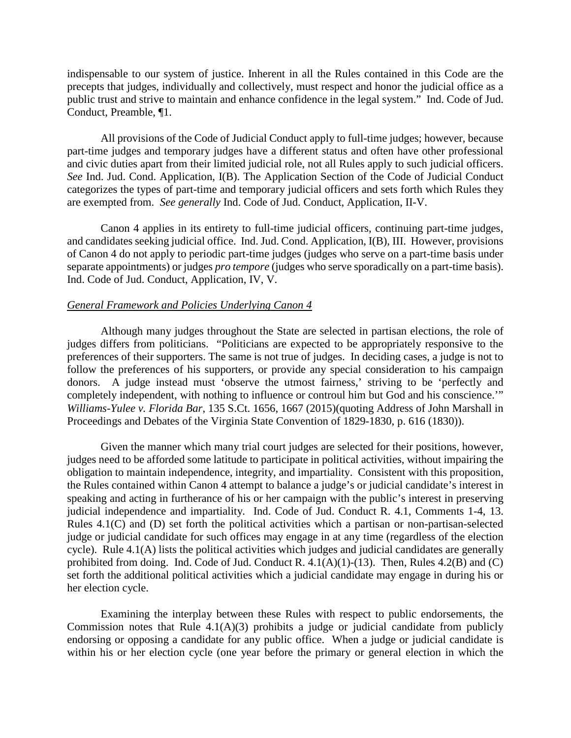indispensable to our system of justice. Inherent in all the Rules contained in this Code are the precepts that judges, individually and collectively, must respect and honor the judicial office as a public trust and strive to maintain and enhance confidence in the legal system." Ind. Code of Jud. Conduct, Preamble, ¶1.

All provisions of the Code of Judicial Conduct apply to full-time judges; however, because part-time judges and temporary judges have a different status and often have other professional and civic duties apart from their limited judicial role, not all Rules apply to such judicial officers. *See* Ind. Jud. Cond. Application, I(B). The Application Section of the Code of Judicial Conduct categorizes the types of part-time and temporary judicial officers and sets forth which Rules they are exempted from. *See generally* Ind. Code of Jud. Conduct, Application, II-V.

Canon 4 applies in its entirety to full-time judicial officers, continuing part-time judges, and candidates seeking judicial office. Ind. Jud. Cond. Application, I(B), III. However, provisions of Canon 4 do not apply to periodic part-time judges (judges who serve on a part-time basis under separate appointments) or judges *pro tempore* (judges who serve sporadically on a part-time basis). Ind. Code of Jud. Conduct, Application, IV, V.

### *General Framework and Policies Underlying Canon 4*

Although many judges throughout the State are selected in partisan elections, the role of judges differs from politicians. "Politicians are expected to be appropriately responsive to the preferences of their supporters. The same is not true of judges. In deciding cases, a judge is not to follow the preferences of his supporters, or provide any special consideration to his campaign donors. A judge instead must 'observe the utmost fairness,' striving to be 'perfectly and completely independent, with nothing to influence or controul him but God and his conscience.'" *Williams-Yulee v. Florida Bar*, 135 S.Ct. 1656, 1667 (2015)(quoting Address of John Marshall in Proceedings and Debates of the Virginia State Convention of 1829-1830, p. 616 (1830)).

Given the manner which many trial court judges are selected for their positions, however, judges need to be afforded some latitude to participate in political activities, without impairing the obligation to maintain independence, integrity, and impartiality. Consistent with this proposition, the Rules contained within Canon 4 attempt to balance a judge's or judicial candidate's interest in speaking and acting in furtherance of his or her campaign with the public's interest in preserving judicial independence and impartiality. Ind. Code of Jud. Conduct R. 4.1, Comments 1-4, 13. Rules 4.1(C) and (D) set forth the political activities which a partisan or non-partisan-selected judge or judicial candidate for such offices may engage in at any time (regardless of the election cycle). Rule 4.1(A) lists the political activities which judges and judicial candidates are generally prohibited from doing. Ind. Code of Jud. Conduct R. 4.1(A)(1)-(13). Then, Rules 4.2(B) and (C) set forth the additional political activities which a judicial candidate may engage in during his or her election cycle.

Examining the interplay between these Rules with respect to public endorsements, the Commission notes that Rule  $4.1(A)(3)$  prohibits a judge or judicial candidate from publicly endorsing or opposing a candidate for any public office. When a judge or judicial candidate is within his or her election cycle (one year before the primary or general election in which the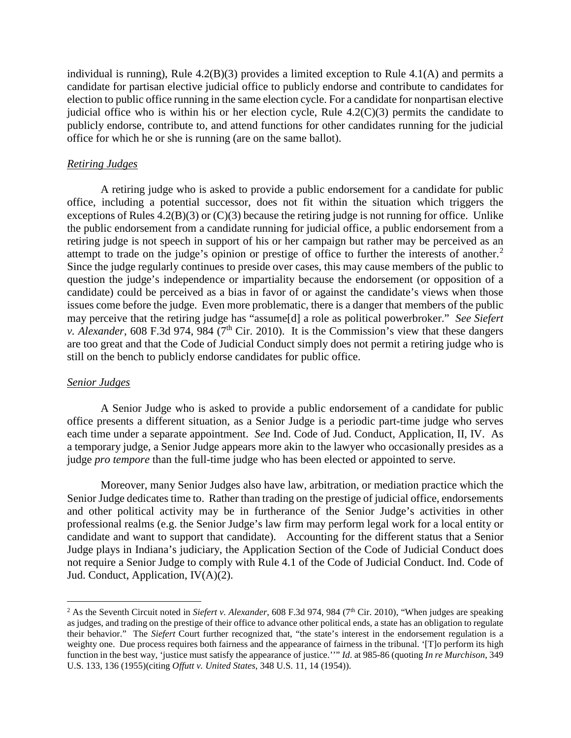individual is running), Rule  $4.2(B)(3)$  provides a limited exception to Rule  $4.1(A)$  and permits a candidate for partisan elective judicial office to publicly endorse and contribute to candidates for election to public office running in the same election cycle. For a candidate for nonpartisan elective judicial office who is within his or her election cycle, Rule  $4.2(C)(3)$  permits the candidate to publicly endorse, contribute to, and attend functions for other candidates running for the judicial office for which he or she is running (are on the same ballot).

## *Retiring Judges*

A retiring judge who is asked to provide a public endorsement for a candidate for public office, including a potential successor, does not fit within the situation which triggers the exceptions of Rules 4.2(B)(3) or (C)(3) because the retiring judge is not running for office. Unlike the public endorsement from a candidate running for judicial office, a public endorsement from a retiring judge is not speech in support of his or her campaign but rather may be perceived as an attempt to trade on the judge's opinion or prestige of office to further the interests of another.<sup>[2](#page-2-0)</sup> Since the judge regularly continues to preside over cases, this may cause members of the public to question the judge's independence or impartiality because the endorsement (or opposition of a candidate) could be perceived as a bias in favor of or against the candidate's views when those issues come before the judge. Even more problematic, there is a danger that members of the public may perceive that the retiring judge has "assume[d] a role as political powerbroker." *See Siefert v. Alexander*, 608 F.3d 974, 984 ( $7<sup>th</sup>$  Cir. 2010). It is the Commission's view that these dangers are too great and that the Code of Judicial Conduct simply does not permit a retiring judge who is still on the bench to publicly endorse candidates for public office.

# *Senior Judges*

A Senior Judge who is asked to provide a public endorsement of a candidate for public office presents a different situation, as a Senior Judge is a periodic part-time judge who serves each time under a separate appointment. *See* Ind. Code of Jud. Conduct, Application, II, IV. As a temporary judge, a Senior Judge appears more akin to the lawyer who occasionally presides as a judge *pro tempore* than the full-time judge who has been elected or appointed to serve.

Moreover, many Senior Judges also have law, arbitration, or mediation practice which the Senior Judge dedicates time to. Rather than trading on the prestige of judicial office, endorsements and other political activity may be in furtherance of the Senior Judge's activities in other professional realms (e.g. the Senior Judge's law firm may perform legal work for a local entity or candidate and want to support that candidate). Accounting for the different status that a Senior Judge plays in Indiana's judiciary, the Application Section of the Code of Judicial Conduct does not require a Senior Judge to comply with Rule 4.1 of the Code of Judicial Conduct. Ind. Code of Jud. Conduct, Application, IV(A)(2).

<span id="page-2-0"></span><sup>&</sup>lt;sup>2</sup> As the Seventh Circuit noted in *Siefert v. Alexander*, 608 F.3d 974, 984 (7<sup>th</sup> Cir. 2010), "When judges are speaking as judges, and trading on the prestige of their office to advance other political ends, a state has an obligation to regulate their behavior." The *Siefert* Court further recognized that, "the state's interest in the endorsement regulation is a weighty one. Due process requires both fairness and the appearance of fairness in the tribunal. '[T]o perform its high function in the best way, 'justice must satisfy the appearance of justice.''" *Id*. at 985-86 (quoting *In re Murchison*, 349 U.S. 133, 136 (1955)(citing *Offutt v. United States*, 348 U.S. 11, 14 (1954)).